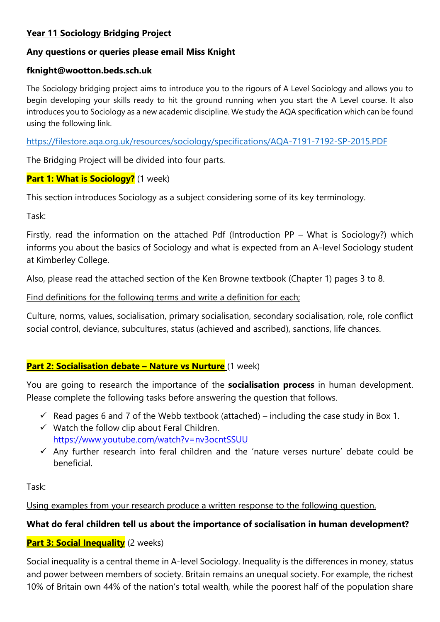## **Year 11 Sociology Bridging Project**

### **Any questions or queries please email Miss Knight**

#### **fknight@wootton.beds.sch.uk**

The Sociology bridging project aims to introduce you to the rigours of A Level Sociology and allows you to begin developing your skills ready to hit the ground running when you start the A Level course. It also introduces you to Sociology as a new academic discipline. We study the AQA specification which can be found using the following link.

<https://filestore.aqa.org.uk/resources/sociology/specifications/AQA-7191-7192-SP-2015.PDF>

The Bridging Project will be divided into four parts.

#### **Part 1: What is Sociology?** (1 week)

This section introduces Sociology as a subject considering some of its key terminology.

Task:

Firstly, read the information on the attached Pdf (Introduction PP – What is Sociology?) which informs you about the basics of Sociology and what is expected from an A-level Sociology student at Kimberley College.

Also, please read the attached section of the Ken Browne textbook (Chapter 1) pages 3 to 8.

Find definitions for the following terms and write a definition for each;

Culture, norms, values, socialisation, primary socialisation, secondary socialisation, role, role conflict social control, deviance, subcultures, status (achieved and ascribed), sanctions, life chances.

### **Part 2: Socialisation debate - Nature vs Nurture** (1 week)

You are going to research the importance of the **socialisation process** in human development. Please complete the following tasks before answering the question that follows.

- $\checkmark$  Read pages 6 and 7 of the Webb textbook (attached) including the case study in Box 1.
- $\checkmark$  Watch the follow clip about Feral Children. <https://www.youtube.com/watch?v=nv3ocntSSUU>
- $\checkmark$  Any further research into feral children and the 'nature verses nurture' debate could be beneficial.

Task:

Using examples from your research produce a written response to the following question.

### **What do feral children tell us about the importance of socialisation in human development?**

### **Part 3: Social Inequality** (2 weeks)

Social inequality is a central theme in A-level Sociology. Inequality is the differences in money, status and power between members of society. Britain remains an unequal society. For example, the richest 10% of Britain own 44% of the nation's total wealth, while the poorest half of the population share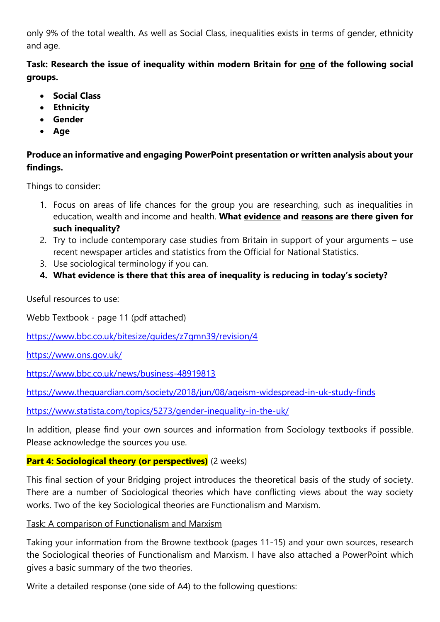only 9% of the total wealth. As well as Social Class, inequalities exists in terms of gender, ethnicity and age.

**Task: Research the issue of inequality within modern Britain for one of the following social groups.** 

- **Social Class**
- **Ethnicity**
- **Gender**
- **Age**

# **Produce an informative and engaging PowerPoint presentation or written analysis about your findings.**

Things to consider:

- 1. Focus on areas of life chances for the group you are researching, such as inequalities in education, wealth and income and health. **What evidence and reasons are there given for such inequality?**
- 2. Try to include contemporary case studies from Britain in support of your arguments use recent newspaper articles and statistics from the Official for National Statistics.
- 3. Use sociological terminology if you can.
- **4. What evidence is there that this area of inequality is reducing in today's society?**

Useful resources to use:

Webb Textbook - page 11 (pdf attached)

<https://www.bbc.co.uk/bitesize/guides/z7gmn39/revision/4>

<https://www.ons.gov.uk/>

<https://www.bbc.co.uk/news/business-48919813>

<https://www.theguardian.com/society/2018/jun/08/ageism-widespread-in-uk-study-finds>

<https://www.statista.com/topics/5273/gender-inequality-in-the-uk/>

In addition, please find your own sources and information from Sociology textbooks if possible. Please acknowledge the sources you use.

## **Part 4: Sociological theory (or perspectives)** (2 weeks)

This final section of your Bridging project introduces the theoretical basis of the study of society. There are a number of Sociological theories which have conflicting views about the way society works. Two of the key Sociological theories are Functionalism and Marxism.

### Task: A comparison of Functionalism and Marxism

Taking your information from the Browne textbook (pages 11-15) and your own sources, research the Sociological theories of Functionalism and Marxism. I have also attached a PowerPoint which gives a basic summary of the two theories.

Write a detailed response (one side of A4) to the following questions: